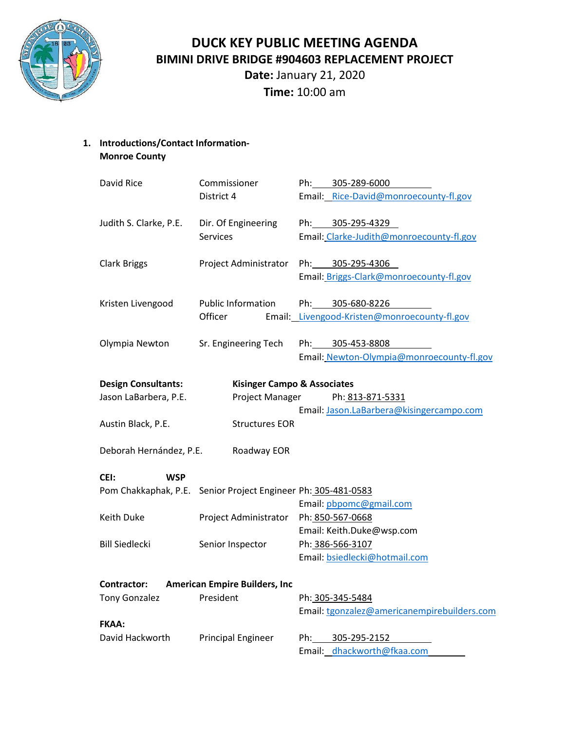

**DUCK KEY PUBLIC MEETING AGENDA BIMINI DRIVE BRIDGE #904603 REPLACEMENT PROJECT**

**Date:** January 21, 2020 **Time:** 10:00 am

**1. Introductions/Contact Information-Monroe County**

| David Rice                                                           | Commissioner                             | Ph: 305-289-6000                             |  |
|----------------------------------------------------------------------|------------------------------------------|----------------------------------------------|--|
|                                                                      | District 4                               | Email: Rice-David@monroecounty-fl.gov        |  |
| Judith S. Clarke, P.E.                                               | Dir. Of Engineering                      | Ph: 305-295-4329                             |  |
|                                                                      | <b>Services</b>                          | Email: Clarke-Judith@monroecounty-fl.gov     |  |
|                                                                      |                                          |                                              |  |
| <b>Clark Briggs</b>                                                  | Project Administrator                    | Ph: 305-295-4306                             |  |
|                                                                      |                                          | Email: Briggs-Clark@monroecounty-fl.gov      |  |
|                                                                      | <b>Public Information</b>                | Ph: 305-680-8226                             |  |
| Kristen Livengood                                                    |                                          |                                              |  |
|                                                                      | Officer                                  | Email: Livengood-Kristen@monroecounty-fl.gov |  |
| Olympia Newton                                                       | Sr. Engineering Tech                     | 305-453-8808<br>Ph:                          |  |
|                                                                      |                                          | Email: Newton-Olympia@monroecounty-fl.gov    |  |
|                                                                      |                                          |                                              |  |
| <b>Design Consultants:</b><br><b>Kisinger Campo &amp; Associates</b> |                                          |                                              |  |
| Jason LaBarbera, P.E.                                                | Project Manager                          | Ph: 813-871-5331                             |  |
|                                                                      |                                          | Email: Jason.LaBarbera@kisingercampo.com     |  |
| Austin Black, P.E.                                                   | <b>Structures EOR</b>                    |                                              |  |
|                                                                      |                                          |                                              |  |
| Deborah Hernández, P.E.<br>Roadway EOR                               |                                          |                                              |  |
| CEI:<br><b>WSP</b>                                                   |                                          |                                              |  |
| Pom Chakkaphak, P.E.                                                 | Senior Project Engineer Ph: 305-481-0583 |                                              |  |
|                                                                      |                                          | Email: pbpomc@gmail.com                      |  |
|                                                                      |                                          |                                              |  |
| Keith Duke                                                           | Project Administrator                    | Ph: 850-567-0668                             |  |
|                                                                      |                                          | Email: Keith.Duke@wsp.com                    |  |
| <b>Bill Siedlecki</b>                                                | Senior Inspector                         | Ph: 386-566-3107                             |  |
|                                                                      |                                          | Email: bsiedlecki@hotmail.com                |  |
| <b>American Empire Builders, Inc.</b><br><b>Contractor:</b>          |                                          |                                              |  |
| <b>Tony Gonzalez</b>                                                 | President                                | Ph: 305-345-5484                             |  |
|                                                                      |                                          | Email: tgonzalez@americanempirebuilders.com  |  |
| <b>FKAA:</b>                                                         |                                          |                                              |  |
| David Hackworth                                                      | <b>Principal Engineer</b>                | 305-295-2152<br>Ph:                          |  |
|                                                                      |                                          | Email: dhackworth@fkaa.com                   |  |
|                                                                      |                                          |                                              |  |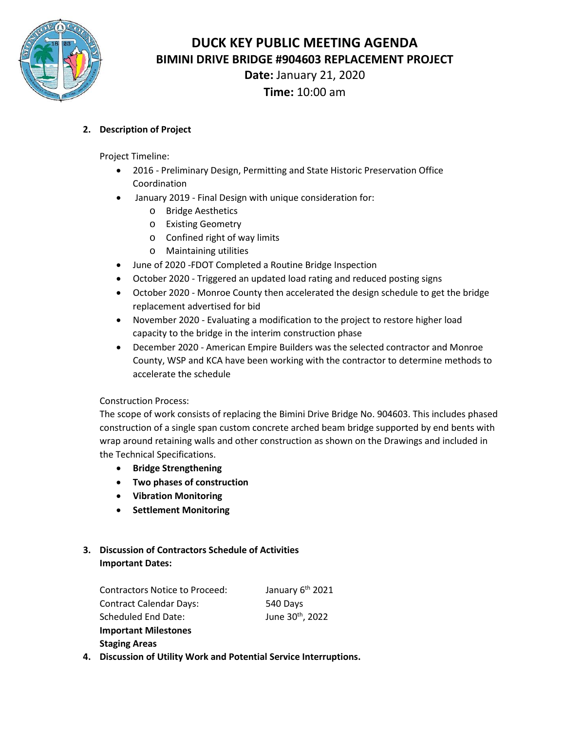

**DUCK KEY PUBLIC MEETING AGENDA BIMINI DRIVE BRIDGE #904603 REPLACEMENT PROJECT**

**Date:** January 21, 2020 **Time:** 10:00 am

### **2. Description of Project**

Project Timeline:

- 2016 Preliminary Design, Permitting and State Historic Preservation Office Coordination
- January 2019 Final Design with unique consideration for:
	- o Bridge Aesthetics
	- o Existing Geometry
	- o Confined right of way limits
	- o Maintaining utilities
- June of 2020 -FDOT Completed a Routine Bridge Inspection
- October 2020 Triggered an updated load rating and reduced posting signs
- October 2020 Monroe County then accelerated the design schedule to get the bridge replacement advertised for bid
- November 2020 Evaluating a modification to the project to restore higher load capacity to the bridge in the interim construction phase
- December 2020 American Empire Builders was the selected contractor and Monroe County, WSP and KCA have been working with the contractor to determine methods to accelerate the schedule

#### Construction Process:

The scope of work consists of replacing the Bimini Drive Bridge No. 904603. This includes phased construction of a single span custom concrete arched beam bridge supported by end bents with wrap around retaining walls and other construction as shown on the Drawings and included in the Technical Specifications.

- **Bridge Strengthening**
- **Two phases of construction**
- **Vibration Monitoring**
- **Settlement Monitoring**

### **3. Discussion of Contractors Schedule of Activities Important Dates:**

| <b>Contractors Notice to Proceed:</b>                       | January 6 <sup>th</sup> 2021 |
|-------------------------------------------------------------|------------------------------|
| <b>Contract Calendar Days:</b>                              | 540 Days                     |
| Scheduled End Date:                                         | June 30 <sup>th</sup> , 2022 |
| <b>Important Milestones</b>                                 |                              |
| <b>Staging Areas</b>                                        |                              |
| Discussion of Utility Wark and Dotantial Convice Intervuest |                              |

**4. Discussion of Utility Work and Potential Service Interruptions.**